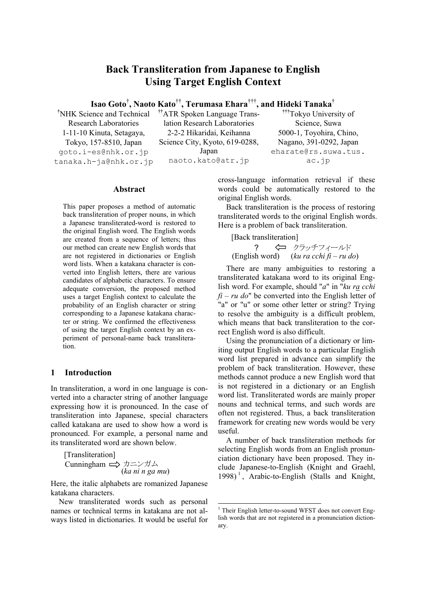# **Back Transliteration from Japanese to English Using Target English Context**

**Isao Goto**† **, Naoto Kato**††**, Terumasa Ehara**†††**, and Hideki Tanaka**†

**†** NHK Science and Technical Research Laboratories 1-11-10 Kinuta, Setagaya, Tokyo, 157-8510, Japan goto.i-es@nhk.or.jp tanaka.h-ja@nhk.or.jp **††**ATR Spoken Language Translation Research Laboratories 2-2-2 Hikaridai, Keihanna Science City, Kyoto, 619-0288, Japan naoto.kato@atr.jp

**†††**Tokyo University of Science, Suwa 5000-1, Toyohira, Chino, Nagano, 391-0292, Japan eharate@rs.suwa.tus. ac.jp

#### **Abstract**

This paper proposes a method of automatic back transliteration of proper nouns, in which a Japanese transliterated-word is restored to the original English word. The English words are created from a sequence of letters; thus our method can create new English words that are not registered in dictionaries or English word lists. When a katakana character is converted into English letters, there are various candidates of alphabetic characters. To ensure adequate conversion, the proposed method uses a target English context to calculate the probability of an English character or string corresponding to a Japanese katakana character or string. We confirmed the effectiveness of using the target English context by an experiment of personal-name back transliteration.

#### **1 Introduction**

In transliteration, a word in one language is converted into a character string of another language expressing how it is pronounced. In the case of transliteration into Japanese, special characters called katakana are used to show how a word is pronounced. For example, a personal name and its transliterated word are shown below.

Cunningham カニンガム (*ka ni n ga mu*) [Transliteration]

Here, the italic alphabets are romanized Japanese katakana characters.

New transliterated words such as personal names or technical terms in katakana are not always listed in dictionaries. It would be useful for cross-language information retrieval if these words could be automatically restored to the original English words.

Back transliteration is the process of restoring transliterated words to the original English words. Here is a problem of back transliteration.

[Back transliteration]

? ◇ クラッチフィールド (English word) (*ku ra cchi fi – ru do*)

There are many ambiguities to restoring a transliterated katakana word to its original English word. For example, should "*a*" in "*ku ra cchi fi – ru do*" be converted into the English letter of "a" or "u" or some other letter or string? Trying to resolve the ambiguity is a difficult problem, which means that back transliteration to the correct English word is also difficult.

Using the pronunciation of a dictionary or limiting output English words to a particular English word list prepared in advance can simplify the problem of back transliteration. However, these methods cannot produce a new English word that is not registered in a dictionary or an English word list. Transliterated words are mainly proper nouns and technical terms, and such words are often not registered. Thus, a back transliteration framework for creating new words would be very useful.

A number of back transliteration methods for selecting English words from an English pronunciation dictionary have been proposed. They include Japanese-to-English (Knight and Graehl, 1998)<sup>1</sup>, Arabic-to-English (Stalls and Knight,

 1 Their English letter-to-sound WFST does not convert English words that are not registered in a pronunciation dictionary.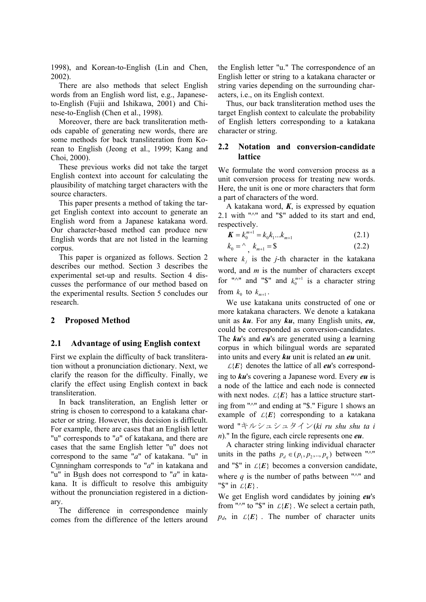1998), and Korean-to-English (Lin and Chen, 2002).

There are also methods that select English words from an English word list, e.g., Japaneseto-English (Fujii and Ishikawa, 2001) and Chinese-to-English (Chen et al., 1998).

Moreover, there are back transliteration methods capable of generating new words, there are some methods for back transliteration from Korean to English (Jeong et al., 1999; Kang and Choi, 2000).

These previous works did not take the target English context into account for calculating the plausibility of matching target characters with the source characters.

This paper presents a method of taking the target English context into account to generate an English word from a Japanese katakana word. Our character-based method can produce new English words that are not listed in the learning corpus.

This paper is organized as follows. Section 2 describes our method. Section 3 describes the experimental set-up and results. Section 4 discusses the performance of our method based on the experimental results. Section 5 concludes our research.

#### **2 Proposed Method**

#### **2.1 Advantage of using English context**

First we explain the difficulty of back transliteration without a pronunciation dictionary. Next, we clarify the reason for the difficulty. Finally, we clarify the effect using English context in back transliteration.

In back transliteration, an English letter or string is chosen to correspond to a katakana character or string. However, this decision is difficult. For example, there are cases that an English letter "u" corresponds to "*a*" of katakana, and there are cases that the same English letter "u" does not correspond to the same "*a*" of katakana. "u" in Cunningham corresponds to "*a*" in katakana and "u" in Bush does not correspond to "*a*" in katakana. It is difficult to resolve this ambiguity without the pronunciation registered in a dictionary.

The difference in correspondence mainly comes from the difference of the letters around the English letter "u." The correspondence of an English letter or string to a katakana character or string varies depending on the surrounding characters, i.e., on its English context.

Thus, our back transliteration method uses the target English context to calculate the probability of English letters corresponding to a katakana character or string.

#### **2.2 Notation and conversion-candidate lattice**

We formulate the word conversion process as a unit conversion process for treating new words. Here, the unit is one or more characters that form a part of characters of the word.

A katakana word, *K*, is expressed by equation 2.1 with "^" and "\$" added to its start and end, respectively.

$$
\mathbf{K} = k_0^{m+1} = k_0 k_1 ... k_{m+1}
$$
 (2.1)

$$
k_0 = \,^{\wedge}, \ k_{m+1} = \$ \tag{2.2}
$$

where  $k_j$  is the *j*-th character in the katakana word, and *m* is the number of characters except for " $\wedge$ " and "\$" and  $k_0^{m+1}$  is a character string from  $k_0$  to  $k_{m+1}$ .

We use katakana units constructed of one or more katakana characters. We denote a katakana unit as *ku*. For any *ku*, many English units, *eu*, could be corresponded as conversion-candidates. The *ku*'s and *eu*'s are generated using a learning corpus in which bilingual words are separated into units and every *ku* unit is related an *eu* unit.

 $L\{ E \}$  denotes the lattice of all *eu*'s corresponding to *ku*'s covering a Japanese word. Every *eu* is a node of the lattice and each node is connected with next nodes.  $L\{E\}$  has a lattice structure starting from "^" and ending at "\$." Figure 1 shows an example of  $L\{E\}$  corresponding to a katakana word "キルシュシュタイン(*ki ru shu shu ta i n*)." In the figure, each circle represents one *eu*.

A character string linking individual character units in the paths  $p_d \in (p_1, p_2, ..., p_a)$  between "^" and " $\mathbb{S}$ " in  $\mathcal{L}\{E\}$  becomes a conversion candidate, where  $q$  is the number of paths between " $\wedge$ " and " $\mathbb{S}$ " in  $\mathcal{L}\{E\}$ .

We get English word candidates by joining *eu*'s from " $\wedge$ " to "\$" in  $\mathcal{L}\{E\}$ . We select a certain path,  $p_d$ , in  $L\{E\}$ . The number of character units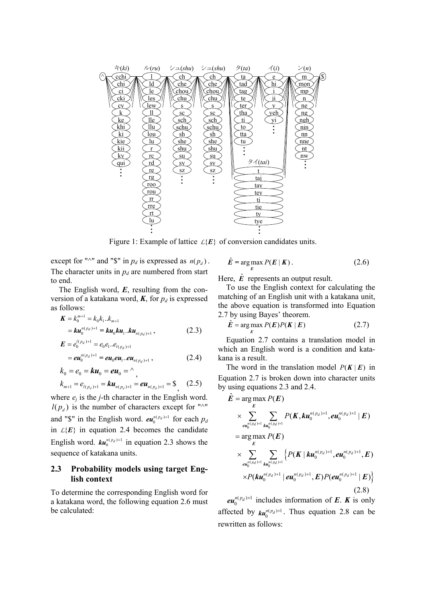

Figure 1: Example of lattice  $\mathcal{L}\{E\}$  of conversion candidates units.

except for "^" and "\$" in  $p_d$  is expressed as  $n(p_d)$ . The character units in  $p_d$  are numbered from start to end.

The English word, *E*, resulting from the conversion of a katakana word,  $K$ , for  $p_d$  is expressed as follows:

$$
\mathbf{K} = k_0^{m+1} = k_0 k_1..k_{m+1}
$$
  
=  $\mathbf{ku}_0^{n(p_d)+1} = \mathbf{ku}_0 \mathbf{ku}_1..\mathbf{ku}_{n(p_d)+1}$ , (2.3)

$$
\mathbf{E} = e_0^{l(p_d)+1} = e_0 e_1 ... e_{l(p_d)+1}
$$
  
=  $e \mathbf{u}_0^{n(p_d)+1} = e \mathbf{u}_0 e \mathbf{u}_1 ... e \mathbf{u}_{n(p_d)+1}$ , (2.4)

$$
k_0 = e_0 = \mathbf{ku}_0 = e \mathbf{u}_0 = \hat{\ }
$$
  
\n
$$
k_{m+1} = e_{l(p_d)+1} = \mathbf{ku}_{n(p_d)+1} = e \mathbf{u}_{n(p_d)+1} = \mathbf{\$}, \quad (2.5)
$$

where  $e_i$  is the *j*-th character in the English word.  $l(p_d)$  is the number of characters except for "<sup>^</sup>" and "\$" in the English word.  $eu_0^{n(p_d)+1}$  for each  $p_d$ in  $L\{E\}$  in equation 2.4 becomes the candidate English word.  $\mathbf{ku}_{0}^{n(p_d)+1}$  in equation 2.3 shows the sequence of katakana units.

# **2.3 Probability models using target English context**

To determine the corresponding English word for a katakana word, the following equation 2.6 must be calculated:

$$
\hat{E} = \underset{E}{\arg \max} P(E \mid K). \tag{2.6}
$$

Here,  $\hat{E}$  represents an output result.

To use the English context for calculating the matching of an English unit with a katakana unit, the above equation is transformed into Equation 2.7 by using Bayes' theorem.

$$
\hat{E} = \underset{E}{\arg \max} P(E)P(K \mid E) \tag{2.7}
$$

Equation 2.7 contains a translation model in which an English word is a condition and katakana is a result.

The word in the translation model  $P(K|E)$  in Equation 2.7 is broken down into character units by using equations 2.3 and 2.4.

$$
\hat{E} = \arg \max_{E} P(E)
$$
\n
$$
\times \sum_{eu_0^{n(p_d)+1}} \sum_{ku_0^{n(p_d)+1}} P(K, ku_0^{n(p_d)+1}, eu_0^{n(p_d)+1} | E)
$$
\n
$$
= \arg \max_{E} P(E)
$$
\n
$$
\times \sum_{eu_0^{n(p_d)+1}} \sum_{ku_0^{n(p_d)+1}} \{P(K | ku_0^{n(p_d)+1}, eu_0^{n(p_d)+1}, E) \}
$$
\n
$$
\times P(ku_0^{n(p_d)+1} | eu_0^{n(p_d)+1}, E) P(eu_0^{n(p_d)+1} | E) \}
$$
\n(2.8)

 $eu_0^{n(p_d)+1}$  includes information of *E*. *K* is only affected by  $\mathbf{ku}_0^{n(p_d)+1}$ . Thus equation 2.8 can be rewritten as follows: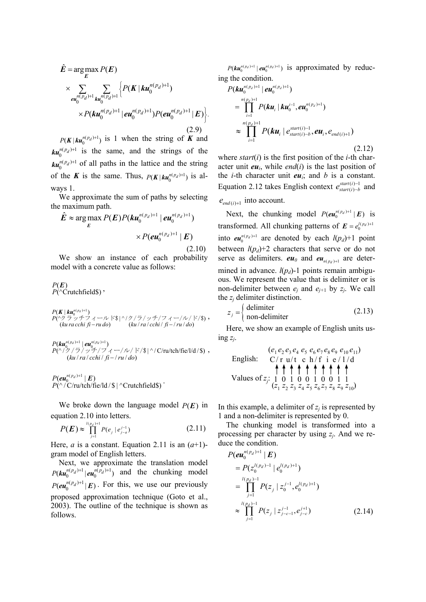$$
\hat{E} = \arg \max_{E} P(E)
$$
\n
$$
\times \sum_{eu_0^{n(p_d)+1} k u_0^{n(p_d)+1}} \sum_{\{l \neq i_0^{n(p_d)+1} \} \in \mathcal{U}_0^{n(p_d)+1}} \left\{ P(K | ku_0^{n(p_d)+1}) P(eu_0^{n(p_d)+1} | E) \right\}.
$$
\n
$$
\times P(ku_0^{n(p_d)+1} | eu_0^{n(p_d)+1}) P(eu_0^{n(p_d)+1} | E) \right\}.
$$
\n(2.9)

 $P(K | k u_0^{n(p_d)+1})$  is 1 when the string of *K* and  $ku_0^{n(p_d)+1}$  is the same, and the strings of the  $ku_0^{n(p_d)+1}$  of all paths in the lattice and the string of the *K* is the same. Thus,  $P(K | k u_0^{n(p_d)+1})$  is always 1.

We approximate the sum of paths by selecting the maximum path.

$$
\hat{E} \approx \underset{E}{\arg \max} P(E)P(ku_0^{n(p_d)+1} | eu_0^{n(p_d)+1})
$$

$$
\times P(eu_0^{n(p_d)+1} | E)
$$
(2.10)

We show an instance of each probability model with a concrete value as follows:

P(E)  
\nP(
$$
\wedge
$$
Crutchfield\$) ,  
\nP(K | ku<sup>n(p<sub>A)  
\nP( $\vee$ )  $\overline{7}$   $\vee$   $\overline{7}$   $\vee$   $\neg$   $\wedge$   $\wedge$   $\wedge$   $\wedge$   $\wedge$   $\wedge$   $\wedge$   $\wedge$   $\wedge$   $\wedge$   $\wedge$   $\wedge$   $\wedge$   $\wedge$   $\wedge$   $\wedge$   $\wedge$   $\wedge$   $\wedge$   $\wedge$   $\wedge$   $\wedge$   $\wedge$   $\wedge$   $\wedge$   $\wedge$   $\wedge$   $\wedge$   $\wedge$   $\wedge$   $\wedge$   $\wedge$   $\wedge$   $\wedge$   $\wedge$   $\wedge$   $\wedge$   $\wedge$   $\wedge$   $\wedge$   $\wedge$   $\wedge$   $\wedge$   $\wedge$   $\wedge$   $\wedge$   $\wedge$   $\wedge$   $\wedge$   $\wedge$   $\wedge$   $\wedge$   $\wedge$   $\wedge$   $\wedge$   $\wedge$   $\wedge$   $\wedge$   $\wedge$   $\wedge$   $\wedge$   $\wedge$   $\wedge$   $\wedge$   $\wedge$   $\wedge$   $\wedge$   $\wedge$   $\wedge$   $\wedge$   $\wedge$   $\wedge$   $\wedge$   $\wedge$   $\wedge$   $\wedge$   $\wedge$   $\wedge$   $\wedge$   $\wedge$   $\wedge$   $\wedge$   $\wedge$   $\wedge$</sub></sup> 

( )1 ( )1 0 0 (|) (^ / | ^ / C/ru/tch/fie/l/d / \$) (// / //) *d d np np P P ku ra cchi fi ru do* + + − *ku eu* ク/ラ/ッチ/フィー/ル/ド/\$ ,

 $P(\boldsymbol{eu}^{n(p_d)+1}_{0} \mid \boldsymbol{E})$  $P(\boldsymbol{eu}^{n(p_d)+1}_{0} | \boldsymbol{E})$ <br> $P(^{\wedge}/C/\text{r}$ u/tch/fie/ld / \$ | ^Crutchfield\$) `

We broke down the language model  $P(E)$  in equation 2.10 into letters.

$$
P(E) \approx \prod_{j=1}^{l(p_d)+1} P(e_j \mid e_{j-a}^{j-1})
$$
 (2.11)

Here, *a* is a constant. Equation 2.11 is an  $(a+1)$ gram model of English letters.

Next, we approximate the translation model  $P(ku_0^{n(p_d)+1} |eu_0^{n(p_d)+1})$  and the chunking model  $P(\mathbf{eu}_0^{n(p_d)+1} | \mathbf{E})$ . For this, we use our previously proposed approximation technique (Goto et al., 2003). The outline of the technique is shown as follows.

 $P(ku_0^{n(p_d)+1} | \textit{eu}_0^{n(p_d)+1})$  is approximated by reducing the condition.

$$
P(\mathbf{ku}_{0}^{n(p_{d})+1} | \mathbf{eu}_{0}^{n(p_{d})+1})
$$
\n
$$
= \prod_{i=1}^{n(p_{d})+1} P(\mathbf{ku}_{i} | \mathbf{ku}_{0}^{i-1}, \mathbf{eu}_{0}^{n(p_{d})+1})
$$
\n
$$
\approx \prod_{i=1}^{n(p_{d})+1} P(\mathbf{ku}_{i} | \mathbf{e}_{start(i)-b}^{start(i)-1}, \mathbf{eu}_{i}, \mathbf{e}_{end(i)+1})
$$
\n(2.12)

where *start*(*i*) is the first position of the *i*-th character unit  $eu_i$ , while *end*(*i*) is the last position of the *i*-th character unit  $eu_i$ ; and *b* is a constant. Equation 2.12 takes English context  $e_{start(i)-b}^{start(i)-1}$  $e_{start(i)-b}^{start(i)-1}$  and

 $e_{end(i)+1}$  into account.

Next, the chunking model  $P(eu_0^{n(p_d)+1} | E)$  is transformed. All chunking patterns of  $\mathbf{E} = e_0^{l(p_d)+1}$ into  $eu_0^{n(p_d)+1}$  are denoted by each  $l(p_d)+1$  point between  $l(p_d)$ +2 characters that serve or do not serve as delimiters.  $eu_0$  and  $eu_{n(p_d)+1}$  are determined in advance.  $l(p_d)$ -1 points remain ambiguous. We represent the value that is delimiter or is non-delimiter between  $e_i$  and  $e_{i+1}$  by  $z_i$ . We call the  $z_i$  delimiter distinction.

$$
z_j = \begin{cases} \text{delimiter} \\ \text{non-delimiter} \end{cases} \tag{2.13}
$$

Here, we show an example of English units using *zj*.

$$
(e_1 e_2 e_3 e_4 e_5 e_6 e_7 e_8 e_9 e_{10} e_{11})
$$
  
English: C/r u/t c h/f i e / 1/d  

$$
(e_1 e_2 e_3 e_4 e_5 e_7 e_8 e_9 e_{10} e_{11})
$$
  
Values of z<sub>j</sub>: 1 0 1 0 0 1 0 0 1 1  

$$
(z_1 z_2 z_3 z_4 z_5 z_6 z_7 z_8 z_9 z_{10})
$$

In this example, a delimiter of  $z_i$  is represented by 1 and a non-delimiter is represented by 0.

The chunking model is transformed into a processing per character by using *zj*. And we reduce the condition.

$$
P(\boldsymbol{eu}_{0}^{n(p_{d})+1} | \boldsymbol{E})
$$
\n
$$
= P(z_{0}^{l(p_{d})-1} | e_{0}^{l(p_{d})+1})
$$
\n
$$
= \prod_{j=1}^{l(p_{d})-1} P(z_{j} | z_{0}^{j-1}, e_{0}^{l(p_{d})+1})
$$
\n
$$
\approx \prod_{j=1}^{l(p_{d})-1} P(z_{j} | z_{j-c-1}^{j-1}, e_{j-c}^{j+1}) \qquad (2.14)
$$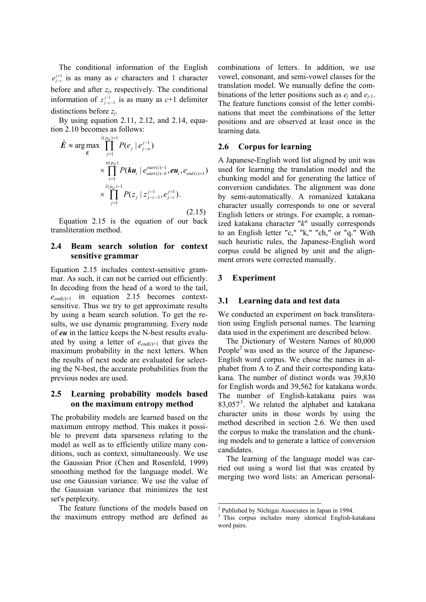The conditional information of the English  $e^{j+1}_{j-c}$  is as many as *c* characters and 1 character before and after *zj*, respectively. The conditional information of  $z_{j-c-1}^{j-1}$  is as many as  $c+1$  delimiter distinctions before *zj*.

By using equation 2.11, 2.12, and 2.14, equation 2.10 becomes as follows:

$$
\hat{E} \approx \arg \max_{E} \prod_{j=1}^{l(p_d)+1} P(e_j | e_{j-a}^{j-1})
$$
  
 
$$
\times \prod_{i=1}^{n(p_d)} P(ku_i | e_{start(i)-b}^{start(i)-1}, eu_i, e_{end(i)+1})
$$
  
 
$$
\times \prod_{j=1}^{l(p_d)-1} P(z_j | z_{j-c-1}^{j-1}, e_{j-c}^{j+1}).
$$

(2.15)

Equation 2.15 is the equation of our back transliteration method.

# **2.4 Beam search solution for context sensitive grammar**

Equation 2.15 includes context-sensitive grammar. As such, it can not be carried out efficiently. In decoding from the head of a word to the tail,  $e_{end(i)+1}$  in equation 2.15 becomes contextsensitive. Thus we try to get approximate results by using a beam search solution. To get the results, we use dynamic programming. Every node of *eu* in the lattice keeps the N-best results evaluated by using a letter of  $e_{end(i)+1}$  that gives the maximum probability in the next letters. When the results of next node are evaluated for selecting the N-best, the accurate probabilities from the previous nodes are used.

# **2.5 Learning probability models based on the maximum entropy method**

The probability models are learned based on the maximum entropy method. This makes it possible to prevent data sparseness relating to the model as well as to efficiently utilize many conditions, such as context, simultaneously. We use the Gaussian Prior (Chen and Rosenfeld, 1999) smoothing method for the language model. We use one Gaussian variance. We use the value of the Gaussian variance that minimizes the test set's perplexity.

The feature functions of the models based on the maximum entropy method are defined as

combinations of letters. In addition, we use vowel, consonant, and semi-vowel classes for the translation model. We manually define the combinations of the letter positions such as *ej* and *ej-*1. The feature functions consist of the letter combinations that meet the combinations of the letter positions and are observed at least once in the learning data.

# **2.6 Corpus for learning**

A Japanese-English word list aligned by unit was used for learning the translation model and the chunking model and for generating the lattice of conversion candidates. The alignment was done by semi-automatically. A romanized katakana character usually corresponds to one or several English letters or strings. For example, a romanized katakana character "*k*" usually corresponds to an English letter "c," "k," "ch," or "q." With such heuristic rules, the Japanese-English word corpus could be aligned by unit and the alignment errors were corrected manually.

#### **3 Experiment**

#### **3.1 Learning data and test data**

We conducted an experiment on back transliteration using English personal names. The learning data used in the experiment are described below.

The Dictionary of Western Names of 80,000 People<sup>2</sup> was used as the source of the Japanese-English word corpus. We chose the names in alphabet from A to Z and their corresponding katakana. The number of distinct words was 39,830 for English words and 39,562 for katakana words. The number of English-katakana pairs was 83,057<sup>3</sup> . We related the alphabet and katakana character units in those words by using the method described in section 2.6. We then used the corpus to make the translation and the chunking models and to generate a lattice of conversion candidates.

The learning of the language model was carried out using a word list that was created by merging two word lists: an American personal-

 $\frac{1}{2}$ 

<sup>&</sup>lt;sup>3</sup> This corpus includes many identical English-katakana word pairs.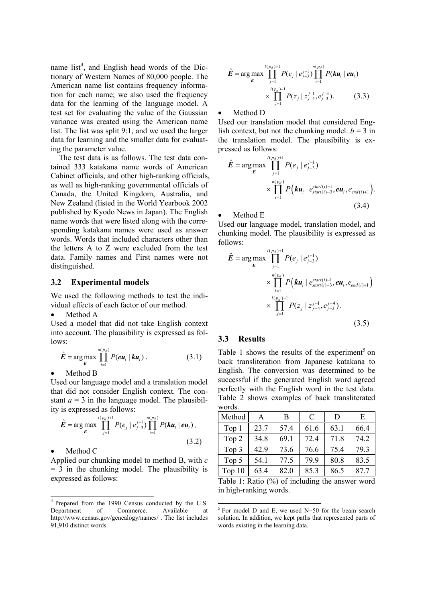name list<sup>4</sup>, and English head words of the Dictionary of Western Names of 80,000 people. The American name list contains frequency information for each name; we also used the frequency data for the learning of the language model. A test set for evaluating the value of the Gaussian variance was created using the American name list. The list was split 9:1, and we used the larger data for learning and the smaller data for evaluating the parameter value.

The test data is as follows. The test data contained 333 katakana name words of American Cabinet officials, and other high-ranking officials, as well as high-ranking governmental officials of Canada, the United Kingdom, Australia, and New Zealand (listed in the World Yearbook 2002 published by Kyodo News in Japan). The English name words that were listed along with the corresponding katakana names were used as answer words. Words that included characters other than the letters A to Z were excluded from the test data. Family names and First names were not distinguished.

#### **3.2 Experimental models**

We used the following methods to test the individual effects of each factor of our method.

Method A

Used a model that did not take English context into account. The plausibility is expressed as follows:

$$
\hat{E} = \underset{E}{\arg \max} \prod_{i=1}^{n(p_d)} P(\boldsymbol{eu}_i \mid \boldsymbol{ku}_i) \,. \tag{3.1}
$$

Method B

-

Used our language model and a translation model that did not consider English context. The constant  $a = 3$  in the language model. The plausibility is expressed as follows:

$$
\hat{E} = \underset{E}{\arg \max} \prod_{j=1}^{l(p_d)+1} P(e_j \mid e_{j-3}^{j-1}) \prod_{i=1}^{n(p_d)} P(ku_i \mid eu_i).
$$
\n(3.2)

Applied our chunking model to method B, with *c*  $= 3$  in the chunking model. The plausibility is expressed as follows:

$$
\hat{E} = \arg \max_{E} \prod_{j=1}^{l(p_d)+1} P(e_j | e_{j-3}^{j-1}) \prod_{i=1}^{n(p_d)} P(ku_i | eu_i)
$$
  
 
$$
\times \prod_{j=1}^{l(p_d)-1} P(z_j | z_{j-4}^{j-1}, e_{j-3}^{j+4}). \tag{3.3}
$$

Method D

Used our translation model that considered English context, but not the chunking model.  $b = 3$  in the translation model. The plausibility is expressed as follows:

$$
\hat{E} = \arg \max_{E} \prod_{j=1}^{l(p_d)+1} P(e_j | e_{j-3}^{j-1})
$$

$$
\times \prod_{i=1}^{n(p_d)} P\left(ku_i | e_{start(i)-3}^{start(i)-1}, eu_i, e_{end(i)+1}\right).
$$
(3.4)

Method E

Used our language model, translation model, and chunking model. The plausibility is expressed as follows:

$$
\hat{E} = \arg \max_{E} \prod_{j=1}^{l(p_d)+1} P(e_j | e_{j-3}^{j-1})
$$
  
 
$$
\times \prod_{i=1}^{n(p_d)} P\left(ku_i | e_{start(i)-3}^{start(i)-1}, eu_i, e_{end(i)+1}\right)
$$
  
 
$$
\times \prod_{j=1}^{l(p_d)-1} P(z_j | z_{j-4}^{j-1}, e_{j-3}^{j+4}).
$$
 (3.5)

#### **3.3 Results**

Table 1 shows the results of the experiment<sup>5</sup> on back transliteration from Japanese katakana to English. The conversion was determined to be successful if the generated English word agreed perfectly with the English word in the test data. Table 2 shows examples of back transliterated words.

| Method   | A    | B    | C    | D    | E    |
|----------|------|------|------|------|------|
| Top 1    | 23.7 | 57.4 | 61.6 | 63.1 | 66.4 |
| Top 2    | 34.8 | 69.1 | 72.4 | 71.8 | 74.2 |
| Top 3    | 42.9 | 73.6 | 76.6 | 75.4 | 79.3 |
| Top 5    | 54.1 | 77.5 | 79.9 | 80.8 | 83.5 |
| Top $10$ | 63.4 | 82.0 | 85.3 | 86.5 | 87.7 |

Table 1: Ratio (%) of including the answer word in high-ranking words.

<sup>4</sup> Prepared from the 1990 Census conducted by the U.S. Department of Commerce. Available at http://www.census.gov/genealogy/names/ . The list includes 91,910 distinct words.

 $\frac{1}{5}$  For model D and E, we used N=50 for the beam search solution. In addition, we kept paths that represented parts of words existing in the learning data.